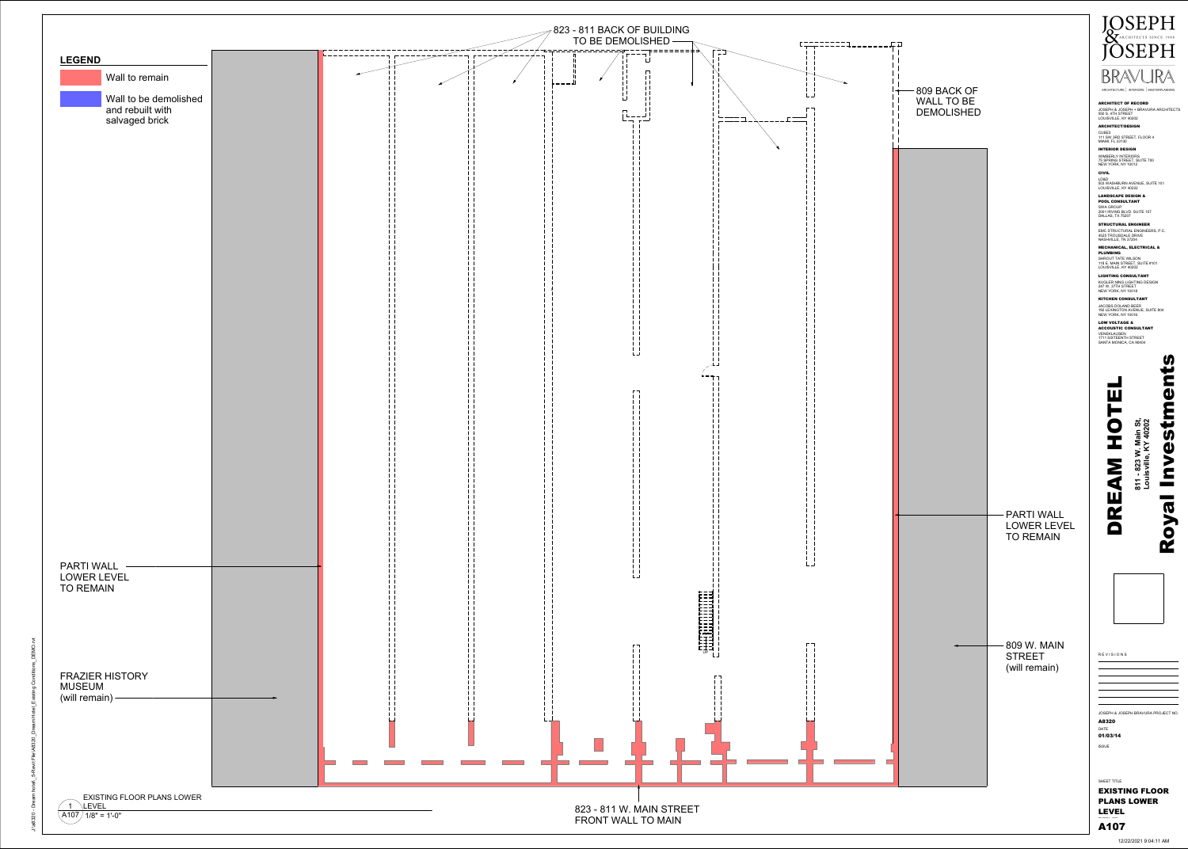

823 - 811 W. MAIN STREET FRONT WALL TO MAIN

| <b>LEGEND</b><br>Wall to remain                             |  |
|-------------------------------------------------------------|--|
| Wall to be demolished<br>and rebuilt with<br>salvaged brick |  |
|                                                             |  |
|                                                             |  |
|                                                             |  |
|                                                             |  |
|                                                             |  |
|                                                             |  |
| <b>PARTI WALL</b><br>LOWER LEVEL<br><b>TO REMAIN</b>        |  |
|                                                             |  |
| <b>FRAZIER HISTORY</b><br><b>MUSEUM</b><br>(will remain) -  |  |
|                                                             |  |

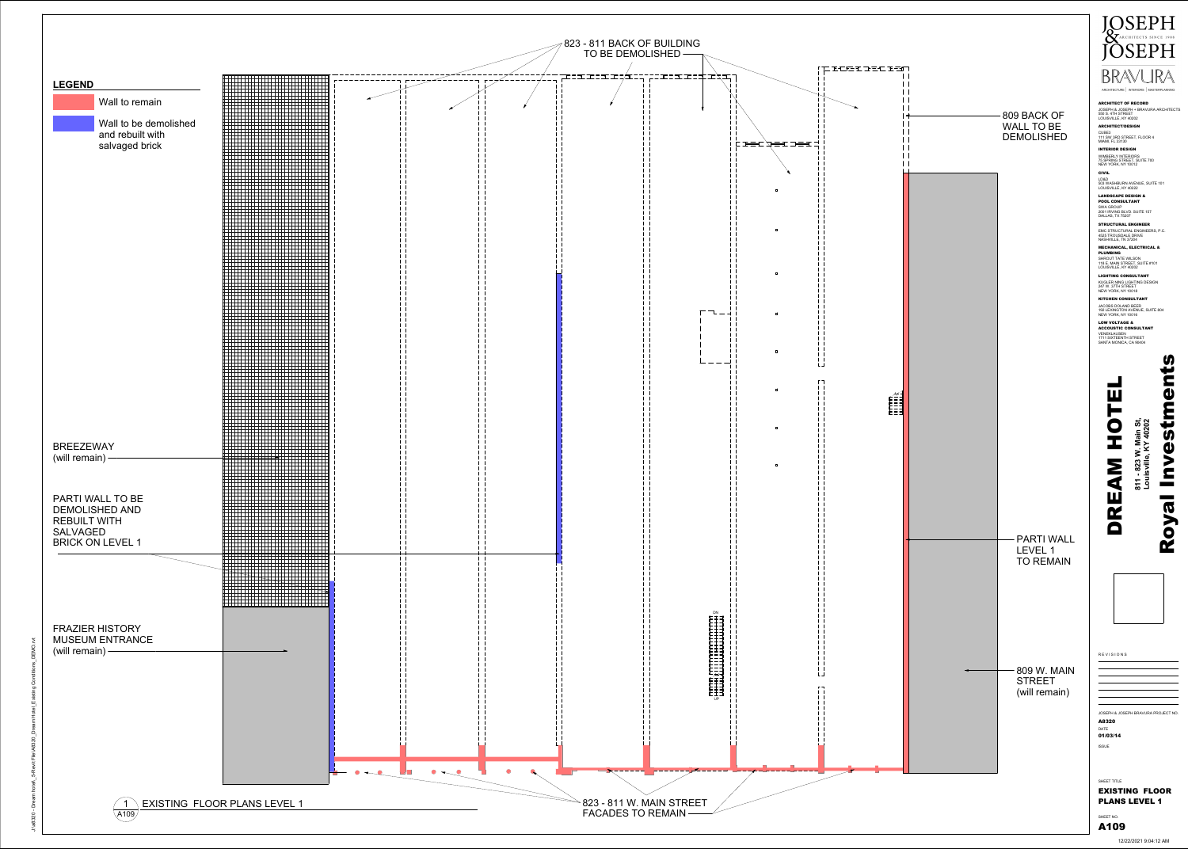|                                     | <b>LEGEND</b><br>Wall to remain           |   |  |
|-------------------------------------|-------------------------------------------|---|--|
|                                     |                                           |   |  |
|                                     | Wall to be demolished<br>and rebuilt with |   |  |
|                                     | salvaged brick                            |   |  |
|                                     |                                           |   |  |
|                                     |                                           |   |  |
|                                     |                                           |   |  |
|                                     |                                           |   |  |
|                                     |                                           |   |  |
|                                     |                                           |   |  |
|                                     |                                           |   |  |
|                                     |                                           |   |  |
|                                     |                                           |   |  |
|                                     |                                           |   |  |
|                                     |                                           |   |  |
|                                     |                                           |   |  |
|                                     |                                           |   |  |
|                                     |                                           |   |  |
|                                     |                                           |   |  |
|                                     |                                           |   |  |
|                                     |                                           |   |  |
|                                     |                                           |   |  |
|                                     |                                           |   |  |
| <b>BREEZEWAY</b><br>(will remain) - |                                           | ► |  |
|                                     |                                           |   |  |
|                                     |                                           |   |  |
|                                     | <b>PARTI WALL TO BE</b>                   |   |  |
| <b>REBUILT WITH</b>                 | <b>DEMOLISHED AND</b>                     |   |  |
| <b>SALVAGED</b>                     |                                           |   |  |
|                                     | <b>BRICK ON LEVEL 1</b>                   |   |  |
|                                     |                                           |   |  |
|                                     |                                           |   |  |
|                                     |                                           |   |  |
|                                     |                                           |   |  |
|                                     | <b>FRAZIER HISTORY</b>                    |   |  |
|                                     | <b>MUSEUM ENTRANCE</b>                    |   |  |
| (will remain) $-$                   |                                           |   |  |
|                                     |                                           |   |  |
|                                     |                                           |   |  |
|                                     |                                           |   |  |
|                                     |                                           |   |  |
|                                     |                                           |   |  |
|                                     |                                           |   |  |
|                                     |                                           |   |  |
|                                     |                                           |   |  |



12/22/2021 9:04:12 AM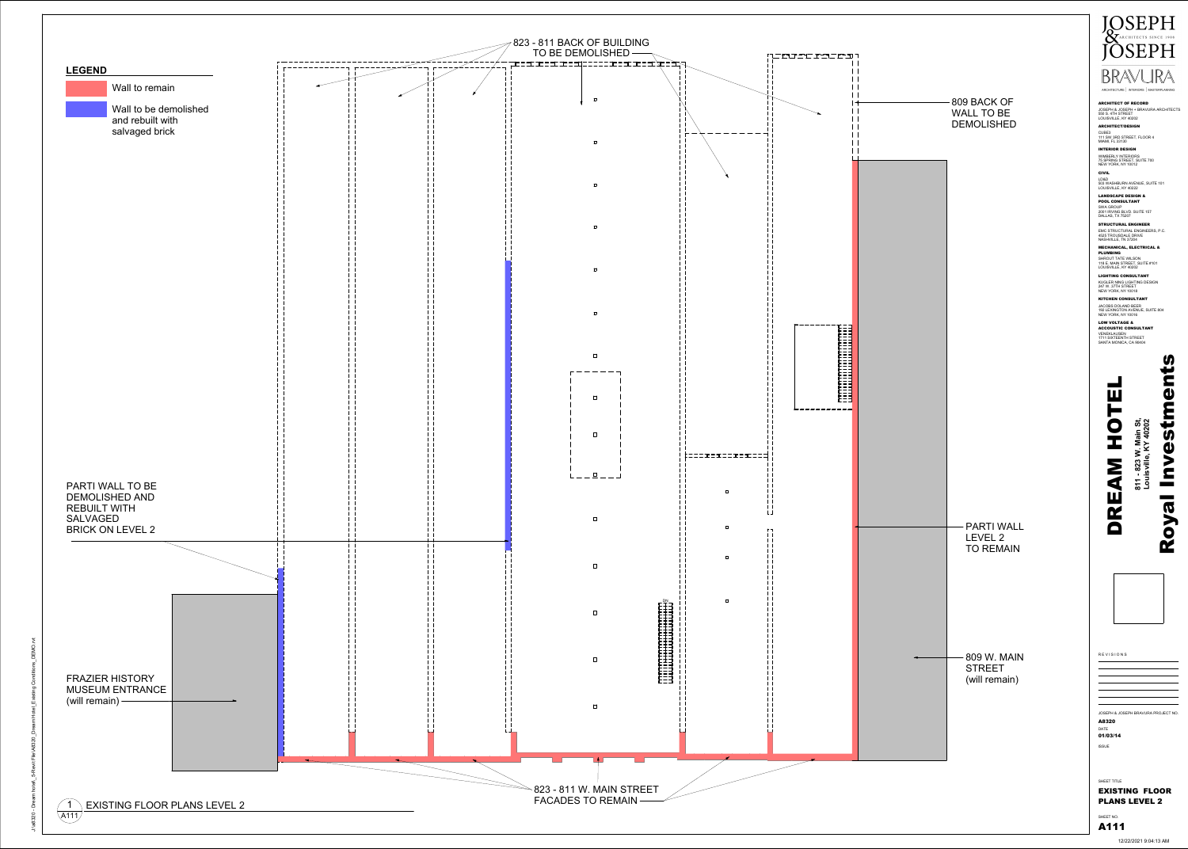

**LEGEND**  Wall to remain  $\mathbf{1}$  $\mathbf{1}$ Wall to be demolished  $\perp$  $\perp$ and rebuilt with  $\mathbf{1}$  $\pm$   $\pm$ salvaged brick  $\mathbf{1}$  $\pm$   $\pm$  $\mathbf{1}$  $\pm$   $\pm$  $\mathbf{1}$  $\mathbf{1}$  $\mathbf{1}$  $\pm$   $\pm$  $\mathbf{1}$  $\pm$   $\pm$  $\mathbf{1}$  $\pm$   $\pm$  $\mathbf{1}$  $\pm$   $\pm$  $\mathbf{1}$  $\pm$   $\pm$  $\mathbf{1}$  $\perp$  $\mathbf{1}$  $\pm$   $\pm$  $\mathbf{1}$  $\pm$   $\pm$  $\mathbf{1}$  $\pm$   $\pm$  $\mathbf{1}$  $\perp$  $\mathbf{1}$  $\pm$   $\pm$  $\mathbf{1}$  $\pm$   $\pm$  $\mathbf{1}$  $\pm$   $\pm$  $\mathbf{1}$  $\perp$  $\mathbf{1}$  $\mathbf{1}$  $\mathbf{1}$  $\mathbf{1}$  $\mathbf{1}$  $\mathbf{1}$  $\perp$  $\pm$  1 PARTI WALL TO BE DEMOLISHED AND REBUILT WITH SALVAGED BRICK ON LEVEL 2  $\vert \ \ \vert$  $\mathbf{1}$  $\pm$   $\pm$  $\pm$   $\pm$  $\vert \ \ \vert$  $\vert \ \ \vert$ FRAZIER HISTORY MUSEUM ENTRANCE (will remain)  $\pm$   $\pm$  $\perp$ **EXISTING FLOOR PLANS LEVEL 2** 1A111



12/22/2021 9:04:13 AM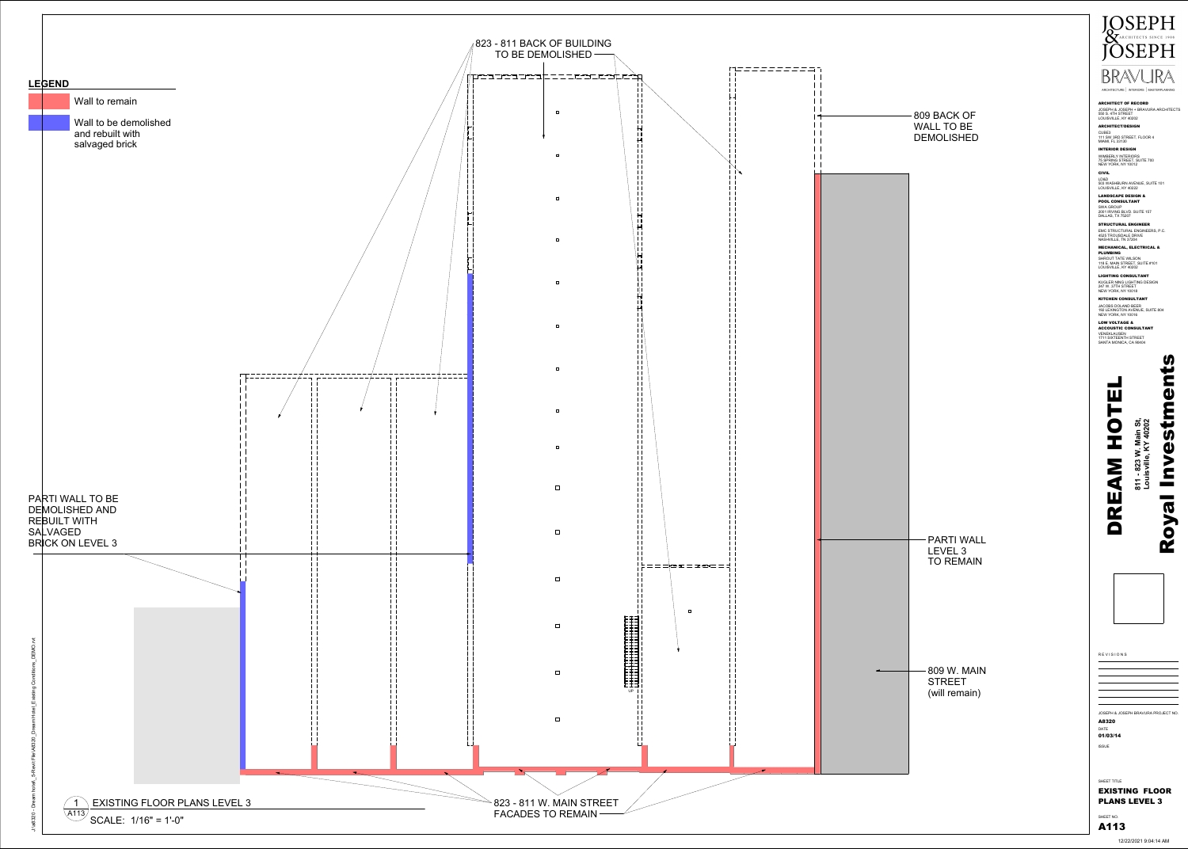





12/22/2021 9:04:14 AM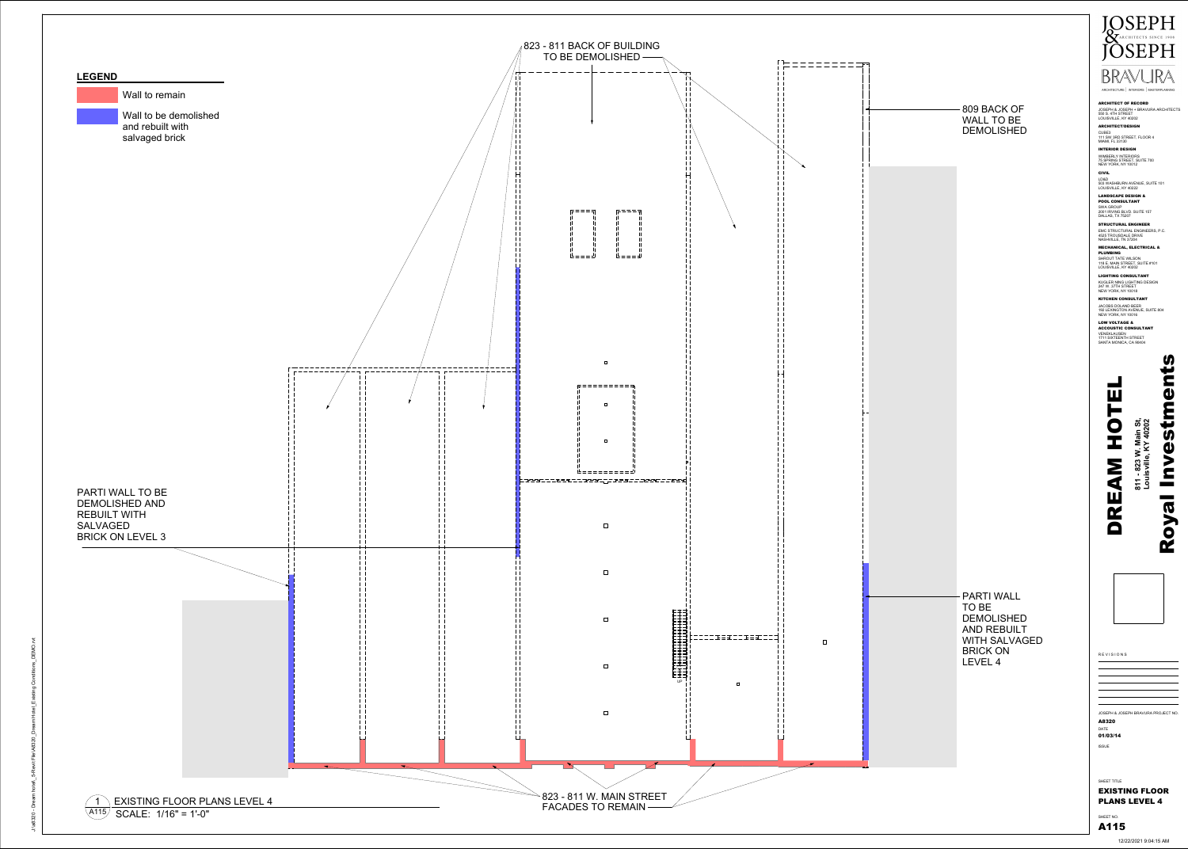



12/22/2021 9:04:15 AM